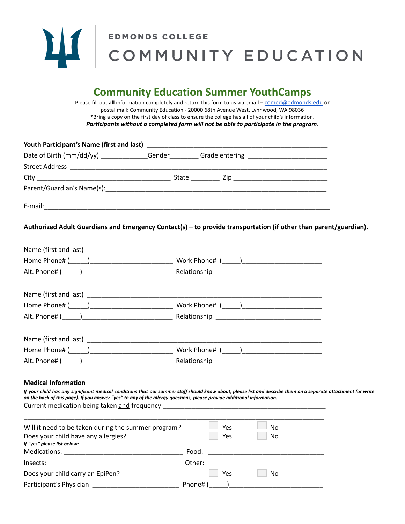

# LA COMMUNITY EDUCATION

# **Community Education Summer YouthCamps**

Please fill out **all** information completely and return this form to us via email – [comed@edmonds.edu](mailto:comed@edmonds.edu) or postal mail: Community Education - 20000 68th Avenue West, Lynnwood, WA 98036 \*Bring a copy on the first day of class to ensure the college has all of your child's information. *Participants without a completed form will not be able to participate in the program*.

|                                                                                                                        | Date of Birth (mm/dd/yy) _____________Gender_________Grade entering ________________________________                                                           |
|------------------------------------------------------------------------------------------------------------------------|----------------------------------------------------------------------------------------------------------------------------------------------------------------|
|                                                                                                                        |                                                                                                                                                                |
|                                                                                                                        |                                                                                                                                                                |
|                                                                                                                        | Parent/Guardian's Name(s): encouragement of the contract of the contract of the contract of the contract of the                                                |
|                                                                                                                        |                                                                                                                                                                |
|                                                                                                                        | Authorized Adult Guardians and Emergency Contact(s) – to provide transportation (if other than parent/guardian).                                               |
|                                                                                                                        |                                                                                                                                                                |
|                                                                                                                        |                                                                                                                                                                |
|                                                                                                                        |                                                                                                                                                                |
|                                                                                                                        |                                                                                                                                                                |
|                                                                                                                        |                                                                                                                                                                |
|                                                                                                                        |                                                                                                                                                                |
|                                                                                                                        |                                                                                                                                                                |
|                                                                                                                        |                                                                                                                                                                |
|                                                                                                                        |                                                                                                                                                                |
| <b>Medical Information</b>                                                                                             |                                                                                                                                                                |
| on the back of this page). If you answer "yes" to any of the allergy questions, please provide additional information. | If your child has any significant medical conditions that our summer staff should know about, please list and describe them on a separate attachment (or write |
| Will it need to be taken during the summer program?                                                                    | Yes<br>No                                                                                                                                                      |
| Does your child have any allergies?<br>If "yes" please list below:                                                     | Yes<br>No                                                                                                                                                      |

| Medications:                     | Food:     |
|----------------------------------|-----------|
| Insects:                         | Other:    |
| Does your child carry an EpiPen? | No<br>Yes |
| Participant's Physician          | Phone# (  |